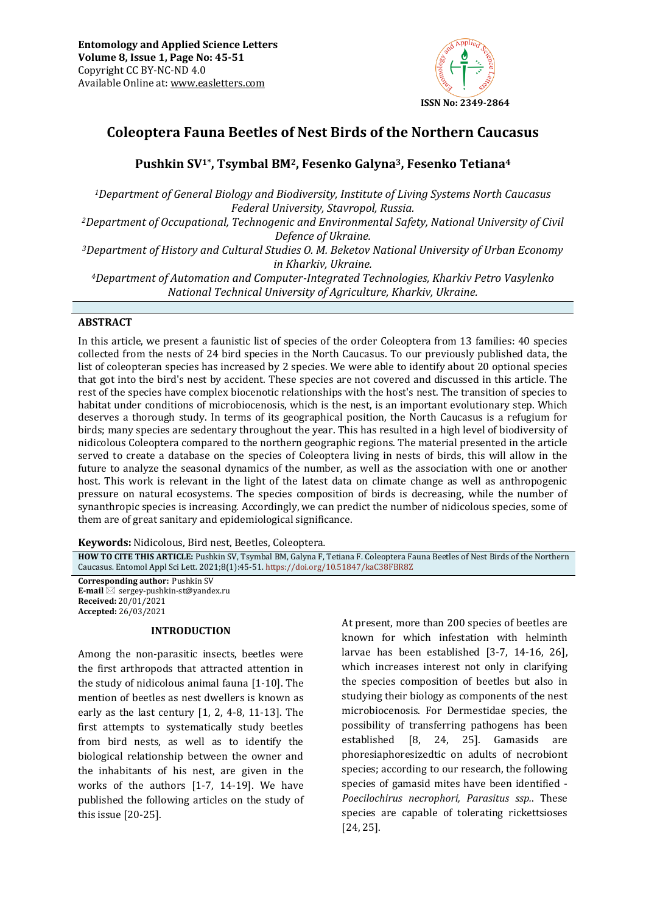

# **Coleoptera Fauna Beetles of Nest Birds of the Northern Caucasus**

# **Pushkin SV1\*, Tsymbal BM2, Fesenko Galyna3, Fesenko Tetiana<sup>4</sup>**

*<sup>1</sup>Department of General Biology and Biodiversity, Institute of Living Systems North Caucasus Federal University, Stavropol, Russia. <sup>2</sup>Department of Occupational, Technogenic and Environmental Safety, National University of Civil Defence of Ukraine. <sup>3</sup>Department of History and Cultural Studies O. M. Beketov National University of Urban Economy in Kharkiv, Ukraine. <sup>4</sup>Department of Automation and Computer-Integrated Technologies, Kharkiv Petro Vasylenko National Technical University of Agriculture, Kharkiv, Ukraine.*

# **ABSTRACT**

In this article, we present a faunistic list of species of the order Coleoptera from 13 families: 40 species collected from the nests of 24 bird species in the North Caucasus. To our previously published data, the list of coleopteran species has increased by 2 species. We were able to identify about 20 optional species that got into the bird's nest by accident. These species are not covered and discussed in this article. The rest of the species have complex biocenotic relationships with the host's nest. The transition of species to habitat under conditions of microbiocenosis, which is the nest, is an important evolutionary step. Which deserves a thorough study. In terms of its geographical position, the North Caucasus is a refugium for birds; many species are sedentary throughout the year. This has resulted in a high level of biodiversity of nidicolous Coleoptera compared to the northern geographic regions. The material presented in the article served to create a database on the species of Coleoptera living in nests of birds, this will allow in the future to analyze the seasonal dynamics of the number, as well as the association with one or another host. This work is relevant in the light of the latest data on climate change as well as anthropogenic pressure on natural ecosystems. The species composition of birds is decreasing, while the number of synanthropic species is increasing. Accordingly, we can predict the number of nidicolous species, some of them are of great sanitary and epidemiological significance.

**Keywords:** Nidicolous, Bird nest, Beetles, Coleoptera*.*

**HOW TO CITE THIS ARTICLE:** Pushkin SV, Tsymbal BM, Galyna F, Tetiana F. Coleoptera Fauna Beetles of Nest Birds of the Northern Caucasus. Entomol Appl Sci Lett. 2021;8(1):45-51. <https://doi.org/10.51847/kaC38FBR8Z>

**Corresponding author:** Pushkin SV  $E$ -mail  $\boxtimes$  sergey-pushkin-st@yandex.ru **Received:** 20/01/2021 **Accepted:** 26/03/2021

### **INTRODUCTION**

Among the non-parasitic insects, beetles were the first arthropods that attracted attention in the study of nidicolous animal fauna [1-10]. The mention of beetles as nest dwellers is known as early as the last century [1, 2, 4-8, 11-13]. The first attempts to systematically study beetles from bird nests, as well as to identify the biological relationship between the owner and the inhabitants of his nest, are given in the works of the authors [1-7, 14-19]. We have published the following articles on the study of this issue [20-25].

At present, more than 200 species of beetles are known for which infestation with helminth larvae has been established [3-7, 14-16, 26], which increases interest not only in clarifying the species composition of beetles but also in studying their biology as components of the nest microbiocenosis. For Dermestidae species, the possibility of transferring pathogens has been established [8, 24, 25]. Gamasids are phoresiaphoresizedtic on adults of necrobiont species; according to our research, the following species of gamasid mites have been identified - *Poecilochirus necrophori, Parasitus ssp.*. These species are capable of tolerating rickettsioses [24, 25].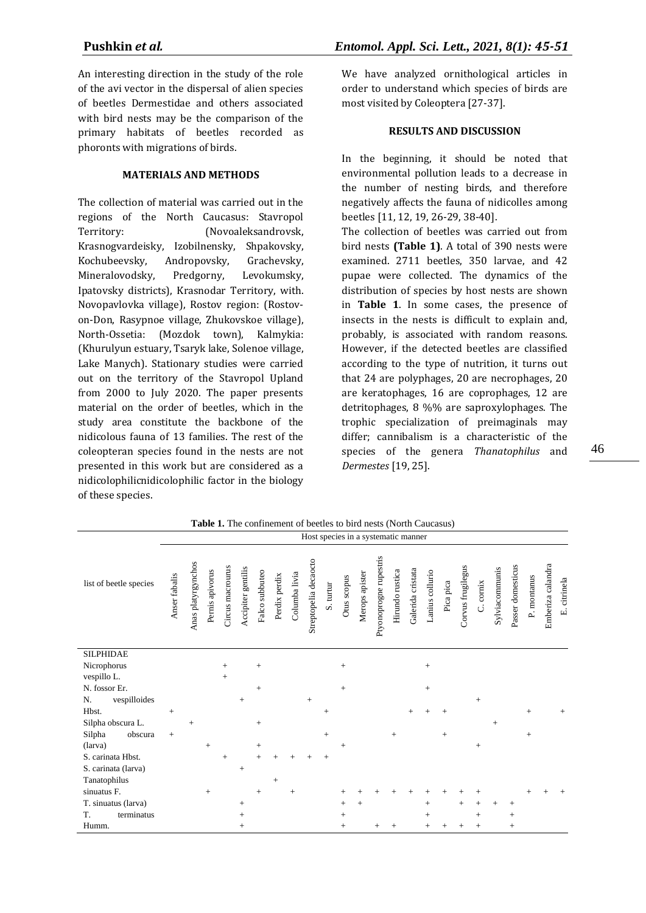An interesting direction in the study of the role of the avi vector in the dispersal of alien species of beetles Dermestidae and others associated with bird nests may be the comparison of the primary habitats of beetles recorded as phoronts with migrations of birds.

## **MATERIALS AND METHODS**

The collection of material was carried out in the regions of the North Caucasus: Stavropol Territory: (Novoaleksandrovsk, Krasnogvardeisky, Izobilnensky, Shpakovsky, Kochubeevsky, Andropovsky, Grachevsky, Mineralovodsky, Predgorny, Levokumsky, Ipatovsky districts), Krasnodar Territory, with. Novopavlovka village), Rostov region: (Rostovon-Don, Rasypnoe village, Zhukovskoe village), North-Ossetia: (Mozdok town), Kalmykia: (Khurulyun estuary, Tsaryk lake, Solenoe village, Lake Manych). Stationary studies were carried out on the territory of the Stavropol Upland from 2000 to July 2020. The paper presents material on the order of beetles, which in the study area constitute the backbone of the nidicolous fauna of 13 families. The rest of the coleopteran species found in the nests are not presented in this work but are considered as a nidicolophilicnidicolophilic factor in the biology of these species.

We have analyzed ornithological articles in order to understand which species of birds are most visited by Coleoptera [27-37].

### **RESULTS AND DISCUSSION**

In the beginning, it should be noted that environmental pollution leads to a decrease in the number of nesting birds, and therefore negatively affects the fauna of nidicolles among beetles [11, 12, 19, 26-29, 38-40].

The collection of beetles was carried out from bird nests **(Table 1)**. A total of 390 nests were examined. 2711 beetles, 350 larvae, and 42 pupae were collected. The dynamics of the distribution of species by host nests are shown in **Table 1**. In some cases, the presence of insects in the nests is difficult to explain and, probably, is associated with random reasons. However, if the detected beetles are classified according to the type of nutrition, it turns out that 24 are polyphages, 20 are necrophages, 20 are keratophages, 16 are coprophages, 12 are detritophages, 8 %% are saproxylophages. The trophic specialization of preimaginals may differ; cannibalism is a characteristic of the species of the genera *Thanatophilus* and *Dermestes* [19, 25].

|                        |               | <b>Table 1.</b> The commement of becaus to bitu nests (Twith Caucasus)<br>Host species in a systematic manner |                 |                  |                    |                |                |               |                       |           |             |                |                        |                 |                   |                 |           |                    |           |                |                   |             |                   |              |
|------------------------|---------------|---------------------------------------------------------------------------------------------------------------|-----------------|------------------|--------------------|----------------|----------------|---------------|-----------------------|-----------|-------------|----------------|------------------------|-----------------|-------------------|-----------------|-----------|--------------------|-----------|----------------|-------------------|-------------|-------------------|--------------|
| list of beetle species | Anser fabalis | Anas platyrgynchos                                                                                            | Pernis apivorus | Circus macrourus | Accipiter gentilis | Falco subbuteo | Perdix perdix  | Columba livia | Streptopelia decaocto | S. turtur | Otus scopus | Merops apister | Ptyonoprogne rupestris | Hirundo rustica | Galerida cristata | Lanius collurio | Pica pica | Corvus frugilegus  | C. cornix | Sylviacommunis | Passer domesticus | P. montanus | Emberiza calandra | E. citrinela |
| <b>SILPHIDAE</b>       |               |                                                                                                               |                 |                  |                    |                |                |               |                       |           |             |                |                        |                 |                   |                 |           |                    |           |                |                   |             |                   |              |
| Nicrophorus            |               |                                                                                                               |                 | $^{+}$           |                    | $+$            |                |               |                       |           | $^{+}$      |                |                        |                 |                   | $^{+}$          |           |                    |           |                |                   |             |                   |              |
| vespillo L.            |               |                                                                                                               |                 | $^{+}$           |                    |                |                |               |                       |           |             |                |                        |                 |                   |                 |           |                    |           |                |                   |             |                   |              |
| N. fossor Er.          |               |                                                                                                               |                 |                  |                    | $+$            |                |               |                       |           | $^{+}$      |                |                        |                 |                   | $^{+}$          |           |                    |           |                |                   |             |                   |              |
| vespilloides<br>N.     |               |                                                                                                               |                 |                  | $^{+}$             |                |                |               | $+$                   |           |             |                |                        |                 |                   |                 |           |                    |           |                |                   |             |                   |              |
| Hbst.                  | $+$           |                                                                                                               |                 |                  |                    |                |                |               |                       | $^{+}$    |             |                |                        |                 | $^{+}$            | $+$             | $^{+}$    |                    |           |                |                   | $^{+}$      |                   | $+$          |
| Silpha obscura L.      |               | $+$                                                                                                           |                 |                  |                    | $^{+}$         |                |               |                       |           |             |                |                        |                 |                   |                 |           |                    |           | $^{+}$         |                   |             |                   |              |
| Silpha<br>obscura      | $\pm$         |                                                                                                               |                 |                  |                    |                |                |               |                       | $+$       |             |                |                        | $+$             |                   |                 | $^{+}$    |                    |           |                |                   | $^{+}$      |                   |              |
| (larva)                |               |                                                                                                               | $+$             |                  |                    | $+$            |                |               |                       |           | $^{+}$      |                |                        |                 |                   |                 |           |                    | $^{+}$    |                |                   |             |                   |              |
| S. carinata Hbst.      |               |                                                                                                               |                 | $^{+}$           |                    | $^{+}$         | $\overline{+}$ | $^{+}$        | $^{+}$                | $+$       |             |                |                        |                 |                   |                 |           |                    |           |                |                   |             |                   |              |
| S. carinata (larva)    |               |                                                                                                               |                 |                  | $^{+}$             |                |                |               |                       |           |             |                |                        |                 |                   |                 |           |                    |           |                |                   |             |                   |              |
| Tanatophilus           |               |                                                                                                               |                 |                  |                    |                | $^{+}$         |               |                       |           |             |                |                        |                 |                   |                 |           |                    |           |                |                   |             |                   |              |
| sinuatus F.            |               |                                                                                                               | $+$             |                  |                    | $^{+}$         |                | $^{+}$        |                       |           | $^{+}$      |                |                        |                 |                   |                 |           |                    |           |                |                   |             |                   |              |
| T. sinuatus (larva)    |               |                                                                                                               |                 |                  | $^{+}$             |                |                |               |                       |           | $^{+}$      | $+$            |                        |                 |                   | $^{+}$          |           | $+$                | $^{+}$    | $^{+}$         | $^{+}$            |             |                   |              |
| terminatus<br>T.       |               |                                                                                                               |                 |                  | $^+$               |                |                |               |                       |           | $^{+}$      |                |                        |                 |                   | $+$             |           |                    | $^{+}$    |                | $^{+}$            |             |                   |              |
| Humm.                  |               |                                                                                                               |                 |                  | $^{+}$             |                |                |               |                       |           | $^{+}$      |                | $^+$                   | $+$             |                   | $^{+}$          | $^{+}$    | $\hspace{0.1mm} +$ | $^{+}$    |                | $^{+}$            |             |                   |              |

**Table 1.** The confinement of beetles to bird nests (North Caucasus)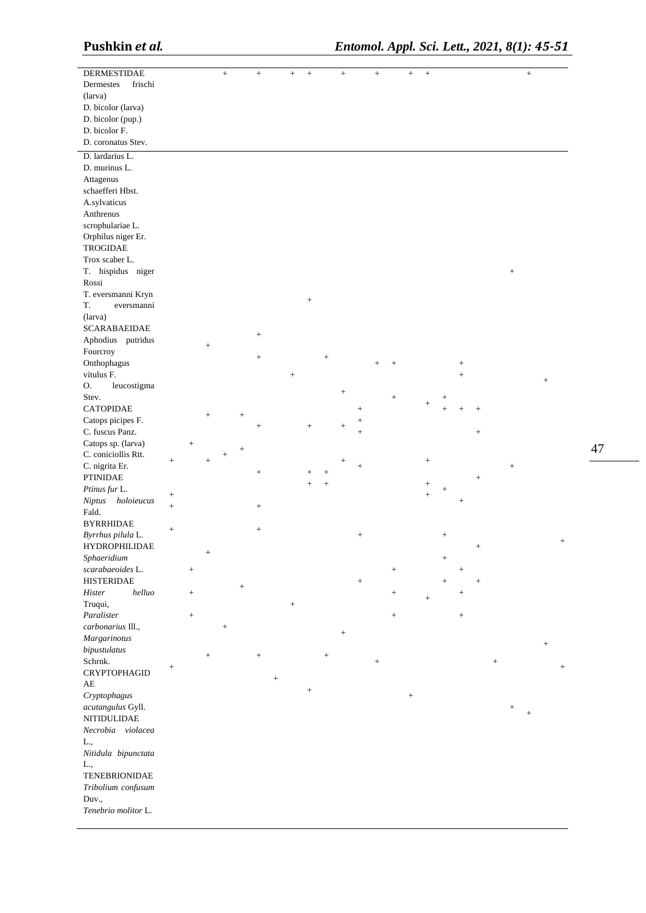| <b>DERMESTIDAE</b>          |                              |                  |        | $^{+}$ |        | $^{+}$                            |        | $^{+}$ |                  |     | $\! +$           |                                   | $^{+}$    |                  | $+$  | $\boldsymbol{+}$    |        |           |                 |                  |                  | $\boldsymbol{+}$ |        |
|-----------------------------|------------------------------|------------------|--------|--------|--------|-----------------------------------|--------|--------|------------------|-----|------------------|-----------------------------------|-----------|------------------|------|---------------------|--------|-----------|-----------------|------------------|------------------|------------------|--------|
| Dermestes<br>frischi        |                              |                  |        |        |        |                                   |        |        |                  |     |                  |                                   |           |                  |      |                     |        |           |                 |                  |                  |                  |        |
| (larva)                     |                              |                  |        |        |        |                                   |        |        |                  |     |                  |                                   |           |                  |      |                     |        |           |                 |                  |                  |                  |        |
| D. bicolor (larva)          |                              |                  |        |        |        |                                   |        |        |                  |     |                  |                                   |           |                  |      |                     |        |           |                 |                  |                  |                  |        |
|                             |                              |                  |        |        |        |                                   |        |        |                  |     |                  |                                   |           |                  |      |                     |        |           |                 |                  |                  |                  |        |
| D. bicolor (pup.)           |                              |                  |        |        |        |                                   |        |        |                  |     |                  |                                   |           |                  |      |                     |        |           |                 |                  |                  |                  |        |
| D. bicolor F.               |                              |                  |        |        |        |                                   |        |        |                  |     |                  |                                   |           |                  |      |                     |        |           |                 |                  |                  |                  |        |
| D. coronatus Stev.          |                              |                  |        |        |        |                                   |        |        |                  |     |                  |                                   |           |                  |      |                     |        |           |                 |                  |                  |                  |        |
| D. lardarius L.             |                              |                  |        |        |        |                                   |        |        |                  |     |                  |                                   |           |                  |      |                     |        |           |                 |                  |                  |                  |        |
| D. murinus L.               |                              |                  |        |        |        |                                   |        |        |                  |     |                  |                                   |           |                  |      |                     |        |           |                 |                  |                  |                  |        |
| Attagenus                   |                              |                  |        |        |        |                                   |        |        |                  |     |                  |                                   |           |                  |      |                     |        |           |                 |                  |                  |                  |        |
| schaefferi Hbst.            |                              |                  |        |        |        |                                   |        |        |                  |     |                  |                                   |           |                  |      |                     |        |           |                 |                  |                  |                  |        |
| A.sylvaticus                |                              |                  |        |        |        |                                   |        |        |                  |     |                  |                                   |           |                  |      |                     |        |           |                 |                  |                  |                  |        |
| Anthrenus                   |                              |                  |        |        |        |                                   |        |        |                  |     |                  |                                   |           |                  |      |                     |        |           |                 |                  |                  |                  |        |
| scrophulariae L.            |                              |                  |        |        |        |                                   |        |        |                  |     |                  |                                   |           |                  |      |                     |        |           |                 |                  |                  |                  |        |
| Orphilus niger Er.          |                              |                  |        |        |        |                                   |        |        |                  |     |                  |                                   |           |                  |      |                     |        |           |                 |                  |                  |                  |        |
| TROGIDAE                    |                              |                  |        |        |        |                                   |        |        |                  |     |                  |                                   |           |                  |      |                     |        |           |                 |                  |                  |                  |        |
| Trox scaber L.              |                              |                  |        |        |        |                                   |        |        |                  |     |                  |                                   |           |                  |      |                     |        |           |                 |                  |                  |                  |        |
| T. hispidus niger           |                              |                  |        |        |        |                                   |        |        |                  |     |                  |                                   |           |                  |      |                     |        |           |                 |                  | $\boldsymbol{+}$ |                  |        |
| Rossi                       |                              |                  |        |        |        |                                   |        |        |                  |     |                  |                                   |           |                  |      |                     |        |           |                 |                  |                  |                  |        |
| T. eversmanni Kryn          |                              |                  |        |        |        |                                   |        |        |                  |     |                  |                                   |           |                  |      |                     |        |           |                 |                  |                  |                  |        |
| T.<br>eversmanni            |                              |                  |        |        |        |                                   |        |        | $\boldsymbol{+}$ |     |                  |                                   |           |                  |      |                     |        |           |                 |                  |                  |                  |        |
| (larva)                     |                              |                  |        |        |        |                                   |        |        |                  |     |                  |                                   |           |                  |      |                     |        |           |                 |                  |                  |                  |        |
| <b>SCARABAEIDAE</b>         |                              |                  |        |        |        |                                   |        |        |                  |     |                  |                                   |           |                  |      |                     |        |           |                 |                  |                  |                  |        |
| Aphodius putridus           |                              |                  |        |        |        | $\boldsymbol{+}$                  |        |        |                  |     |                  |                                   |           |                  |      |                     |        |           |                 |                  |                  |                  |        |
| Fourcroy                    |                              |                  | $^{+}$ |        |        |                                   |        |        |                  |     |                  |                                   |           |                  |      |                     |        |           |                 |                  |                  |                  |        |
| Onthophagus                 |                              |                  |        |        |        | $\boldsymbol{+}$                  |        |        |                  | $+$ |                  |                                   | $\ddot{}$ | $^{+}$           |      |                     |        | $^{+}$    |                 |                  |                  |                  |        |
| vitulus F.                  |                              |                  |        |        |        |                                   |        | $^{+}$ |                  |     |                  |                                   |           |                  |      |                     |        | $\ddot{}$ |                 |                  |                  |                  |        |
| Ο.<br>leucostigma           |                              |                  |        |        |        |                                   |        |        |                  |     |                  |                                   |           |                  |      |                     |        |           |                 |                  |                  |                  | $^{+}$ |
| Stev.                       |                              |                  |        |        |        |                                   |        |        |                  |     | $\boldsymbol{+}$ |                                   |           | $+$              |      |                     |        |           |                 |                  |                  |                  |        |
| <b>CATOPIDAE</b>            |                              |                  |        |        |        |                                   |        |        |                  |     |                  |                                   |           |                  |      | $\ddot{}$           |        | $\ddot{}$ | $+$             |                  |                  |                  |        |
| Catops picipes F.           |                              |                  |        |        | $^{+}$ |                                   |        |        |                  |     |                  |                                   |           |                  |      |                     |        |           |                 |                  |                  |                  |        |
| C. fuscus Panz.             |                              |                  |        |        |        | $^{+}$                            |        |        | $\! +$           |     | $\ddot{}$        |                                   |           |                  |      |                     |        |           | $\! + \!\!\!\!$ |                  |                  |                  |        |
| Catops sp. (larva)          |                              | $^{+}$           |        |        |        |                                   |        |        |                  |     |                  |                                   |           |                  |      |                     |        |           |                 |                  |                  |                  |        |
| C. coniciollis Rtt.         |                              |                  |        | $^{+}$ | $^{+}$ |                                   |        |        |                  |     |                  |                                   |           |                  |      |                     |        |           |                 |                  |                  |                  |        |
| C. nigrita Er.              | $^{+}$                       |                  |        |        |        | $\ddot{}$                         |        |        | $^{+}$           |     |                  | $+$                               |           |                  |      | $^+$                |        |           |                 |                  | $^{+}$           |                  |        |
| <b>PTINIDAE</b>             |                              |                  |        |        |        |                                   |        |        | $\ddot{}$        |     |                  |                                   |           |                  |      |                     |        |           | $\! + \!\!\!\!$ |                  |                  |                  |        |
| Ptinus fur L.               |                              |                  |        |        |        |                                   |        |        |                  |     |                  |                                   |           |                  |      | $\, +$<br>$\ddot{}$ | $^+$   |           |                 |                  |                  |                  |        |
| Niptus holoieucus           | $\! + \!\!\!\!$<br>$\ddot{}$ |                  |        |        |        | $\hspace{1.0cm} + \hspace{1.0cm}$ |        |        |                  |     |                  |                                   |           |                  |      |                     |        | $^+$      |                 |                  |                  |                  |        |
| Fald.                       |                              |                  |        |        |        |                                   |        |        |                  |     |                  |                                   |           |                  |      |                     |        |           |                 |                  |                  |                  |        |
| <b>BYRRHIDAE</b>            | $^{+}$                       |                  |        |        |        |                                   |        |        |                  |     |                  |                                   |           |                  |      |                     |        |           |                 |                  |                  |                  |        |
| Byrrhus pilula L.           |                              |                  |        |        |        |                                   |        |        |                  |     |                  | $\hspace{1.0cm} + \hspace{1.0cm}$ |           |                  |      |                     |        |           |                 |                  |                  |                  | $^{+}$ |
| <b>HYDROPHILIDAE</b>        |                              |                  |        |        |        |                                   |        |        |                  |     |                  |                                   |           |                  |      |                     |        |           | $^{+}$          |                  |                  |                  |        |
| Sphaeridium                 |                              |                  |        |        |        |                                   |        |        |                  |     |                  |                                   |           |                  |      |                     |        |           |                 |                  |                  |                  |        |
| scarabaeoides L.            |                              |                  |        |        |        |                                   |        |        |                  |     |                  |                                   |           | $\boldsymbol{+}$ |      |                     |        | $^{+}$    |                 |                  |                  |                  |        |
| <b>HISTERIDAE</b>           |                              |                  |        |        | $\! +$ |                                   |        |        |                  |     |                  | $\hspace{1.0cm} + \hspace{1.0cm}$ |           |                  |      |                     | $^{+}$ |           |                 |                  |                  |                  |        |
| helluo<br>Hister            |                              |                  |        |        |        |                                   |        |        |                  |     |                  |                                   |           | $^{+}$           |      | $\boldsymbol{+}$    |        |           |                 |                  |                  |                  |        |
| Truqui,                     |                              |                  |        |        |        |                                   |        |        |                  |     |                  |                                   |           |                  |      |                     |        |           |                 |                  |                  |                  |        |
| Paralister                  |                              | $\boldsymbol{+}$ |        |        |        |                                   |        |        |                  |     |                  |                                   |           | $\! + \!\!\!\!$  |      |                     |        |           |                 |                  |                  |                  |        |
| carbonarius Ill.,           |                              |                  |        |        |        |                                   |        |        |                  |     | $^{+}$           |                                   |           |                  |      |                     |        |           |                 |                  |                  |                  |        |
| Margarinotus                |                              |                  |        |        |        |                                   |        |        |                  |     |                  |                                   |           |                  |      |                     |        |           |                 |                  |                  |                  | $+$    |
| bipustulatus                |                              |                  | $^{+}$ |        |        | $^{+}$                            |        |        |                  | $+$ |                  |                                   |           |                  |      |                     |        |           |                 |                  |                  |                  |        |
| Schrnk.                     | $^{+}$                       |                  |        |        |        |                                   |        |        |                  |     |                  |                                   | $^{+}$    |                  |      |                     |        |           |                 | $\boldsymbol{+}$ |                  |                  | $^{+}$ |
| <b>CRYPTOPHAGID</b>         |                              |                  |        |        |        |                                   | $\! +$ |        |                  |     |                  |                                   |           |                  |      |                     |        |           |                 |                  |                  |                  |        |
| $\mathbf{A}\mathbf{E}$      |                              |                  |        |        |        |                                   |        |        | $\! + \!\!\!\!$  |     |                  |                                   |           |                  |      |                     |        |           |                 |                  |                  |                  |        |
| Cryptophagus                |                              |                  |        |        |        |                                   |        |        |                  |     |                  |                                   |           |                  | $^+$ |                     |        |           |                 |                  |                  |                  |        |
| acutangulus Gyll.           |                              |                  |        |        |        |                                   |        |        |                  |     |                  |                                   |           |                  |      |                     |        |           |                 |                  |                  | $^{+}$           |        |
| <b>NITIDULIDAE</b>          |                              |                  |        |        |        |                                   |        |        |                  |     |                  |                                   |           |                  |      |                     |        |           |                 |                  |                  |                  |        |
| Necrobia violacea           |                              |                  |        |        |        |                                   |        |        |                  |     |                  |                                   |           |                  |      |                     |        |           |                 |                  |                  |                  |        |
| L.,                         |                              |                  |        |        |        |                                   |        |        |                  |     |                  |                                   |           |                  |      |                     |        |           |                 |                  |                  |                  |        |
| Nitidula bipunctata         |                              |                  |        |        |        |                                   |        |        |                  |     |                  |                                   |           |                  |      |                     |        |           |                 |                  |                  |                  |        |
| L.,<br><b>TENEBRIONIDAE</b> |                              |                  |        |        |        |                                   |        |        |                  |     |                  |                                   |           |                  |      |                     |        |           |                 |                  |                  |                  |        |
| Tribolium confusum          |                              |                  |        |        |        |                                   |        |        |                  |     |                  |                                   |           |                  |      |                     |        |           |                 |                  |                  |                  |        |
| Duv.,                       |                              |                  |        |        |        |                                   |        |        |                  |     |                  |                                   |           |                  |      |                     |        |           |                 |                  |                  |                  |        |
| Tenebrio molitor L.         |                              |                  |        |        |        |                                   |        |        |                  |     |                  |                                   |           |                  |      |                     |        |           |                 |                  |                  |                  |        |
|                             |                              |                  |        |        |        |                                   |        |        |                  |     |                  |                                   |           |                  |      |                     |        |           |                 |                  |                  |                  |        |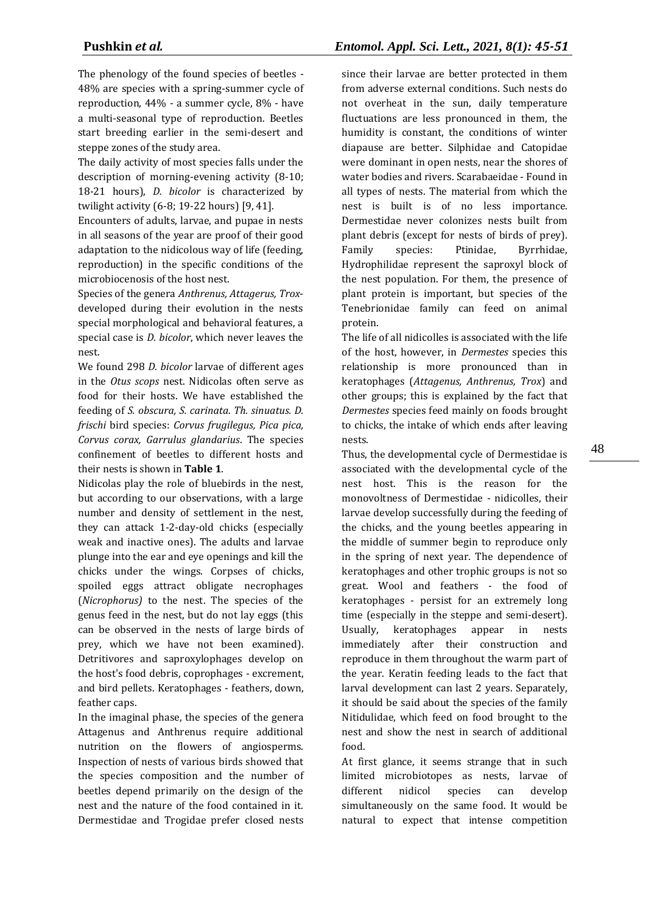The phenology of the found species of beetles - 48% are species with a spring-summer cycle of reproduction, 44% - a summer cycle, 8% - have a multi-seasonal type of reproduction. Beetles start breeding earlier in the semi-desert and steppe zones of the study area.

The daily activity of most species falls under the description of morning-evening activity (8-10; 18-21 hours), *D. bicolor* is characterized by twilight activity (6-8; 19-22 hours) [9, 41].

Encounters of adults, larvae, and pupae in nests in all seasons of the year are proof of their good adaptation to the nidicolous way of life (feeding, reproduction) in the specific conditions of the microbiocenosis of the host nest.

Species of the genera *Anthrenus, Attagerus, Trox*developed during their evolution in the nests special morphological and behavioral features, a special case is *D. bicolor*, which never leaves the nest.

We found 298 *D. bicolor* larvae of different ages in the *Otus scops* nest. Nidicolas often serve as food for their hosts. We have established the feeding of *S. obscura, S. carinata. Th. sinuatus. D. frischi* bird species: *Corvus frugilegus, Pica pica, Corvus corax, Garrulus glandarius*. The species confinement of beetles to different hosts and their nests is shown in **Table 1**.

Nidicolas play the role of bluebirds in the nest, but according to our observations, with a large number and density of settlement in the nest, they can attack 1-2-day-old chicks (especially weak and inactive ones). The adults and larvae plunge into the ear and eye openings and kill the chicks under the wings. Corpses of chicks, spoiled eggs attract obligate necrophages (*Nicrophorus)* to the nest. The species of the genus feed in the nest, but do not lay eggs (this can be observed in the nests of large birds of prey, which we have not been examined). Detritivores and saproxylophages develop on the host's food debris, coprophages - excrement, and bird pellets. Keratophages - feathers, down, feather caps.

In the imaginal phase, the species of the genera Attagenus and Anthrenus require additional nutrition on the flowers of angiosperms. Inspection of nests of various birds showed that the species composition and the number of beetles depend primarily on the design of the nest and the nature of the food contained in it. Dermestidae and Trogidae prefer closed nests since their larvae are better protected in them from adverse external conditions. Such nests do not overheat in the sun, daily temperature fluctuations are less pronounced in them, the humidity is constant, the conditions of winter diapause are better. Silphidae and Catopidae were dominant in open nests, near the shores of water bodies and rivers. Scarabaeidae - Found in all types of nests. The material from which the nest is built is of no less importance. Dermestidae never colonizes nests built from plant debris (except for nests of birds of prey). Family species: Ptinidae, Byrrhidae, Hydrophilidae represent the saproxyl block of the nest population. For them, the presence of plant protein is important, but species of the Tenebrionidae family can feed on animal protein.

The life of all nidicolles is associated with the life of the host, however, in *Dermestes* species this relationship is more pronounced than in keratophages (*Attagenus, Anthrenus, Trox*) and other groups; this is explained by the fact that *Dermestes* species feed mainly on foods brought to chicks, the intake of which ends after leaving nests.

Thus, the developmental cycle of Dermestidae is associated with the developmental cycle of the nest host. This is the reason for the monovoltness of Dermestidae - nidicolles, their larvae develop successfully during the feeding of the chicks, and the young beetles appearing in the middle of summer begin to reproduce only in the spring of next year. The dependence of keratophages and other trophic groups is not so great. Wool and feathers - the food of keratophages - persist for an extremely long time (especially in the steppe and semi-desert). Usually, keratophages appear in nests immediately after their construction and reproduce in them throughout the warm part of the year. Keratin feeding leads to the fact that larval development can last 2 years. Separately, it should be said about the species of the family Nitidulidae, which feed on food brought to the nest and show the nest in search of additional food.

At first glance, it seems strange that in such limited microbiotopes as nests, larvae of different nidicol species can develop simultaneously on the same food. It would be natural to expect that intense competition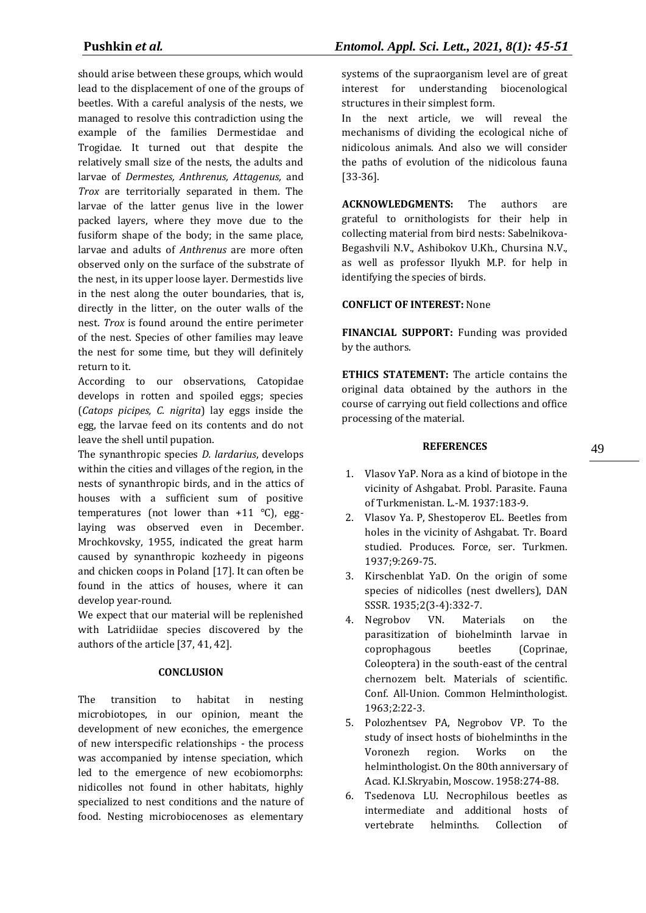should arise between these groups, which would lead to the displacement of one of the groups of beetles. With a careful analysis of the nests, we managed to resolve this contradiction using the example of the families Dermestidae and Trogidae. It turned out that despite the relatively small size of the nests, the adults and larvae of *Dermestes, Anthrenus, Attagenus,* and *Trox* are territorially separated in them. The larvae of the latter genus live in the lower packed layers, where they move due to the fusiform shape of the body; in the same place, larvae and adults of *Anthrenus* are more often observed only on the surface of the substrate of the nest, in its upper loose layer. Dermestids live in the nest along the outer boundaries, that is, directly in the litter, on the outer walls of the nest. *Trox* is found around the entire perimeter of the nest. Species of other families may leave the nest for some time, but they will definitely return to it.

According to our observations, Catopidae develops in rotten and spoiled eggs; species (*Catops picipes, C. nigrita*) lay eggs inside the egg, the larvae feed on its contents and do not leave the shell until pupation.

The synanthropic species *D. lardarius*, develops within the cities and villages of the region, in the nests of synanthropic birds, and in the attics of houses with a sufficient sum of positive temperatures (not lower than  $+11$  °C), egglaying was observed even in December. Mrochkovsky, 1955, indicated the great harm caused by synanthropic kozheedy in pigeons and chicken coops in Poland [17]. It can often be found in the attics of houses, where it can develop year-round.

We expect that our material will be replenished with Latridiidae species discovered by the authors of the article [37, 41, 42].

# **CONCLUSION**

The transition to habitat in nesting microbiotopes, in our opinion, meant the development of new econiches, the emergence of new interspecific relationships - the process was accompanied by intense speciation, which led to the emergence of new ecobiomorphs: nidicolles not found in other habitats, highly specialized to nest conditions and the nature of food. Nesting microbiocenoses as elementary

systems of the supraorganism level are of great interest for understanding biocenological structures in their simplest form.

In the next article, we will reveal the mechanisms of dividing the ecological niche of nidicolous animals. And also we will consider the paths of evolution of the nidicolous fauna [33-36].

**ACKNOWLEDGMENTS:** The authors are grateful to ornithologists for their help in collecting material from bird nests: Sabelnikova-Begashvili N.V., Ashibokov U.Kh., Chursina N.V., as well as professor Ilyukh M.P. for help in identifying the species of birds.

# **CONFLICT OF INTEREST:** None

**FINANCIAL SUPPORT:** Funding was provided by the authors.

**ETHICS STATEMENT:** The article contains the original data obtained by the authors in the course of carrying out field collections and office processing of the material.

### **REFERENCES**

- 1. Vlasov YaP. Nora as a kind of biotope in the vicinity of Ashgabat. Probl. Parasite. Fauna of Turkmenistan. L.-M. 1937:183-9.
- 2. Vlasov Ya. P, Shestoperov EL. Beetles from holes in the vicinity of Ashgabat. Tr. Board studied. Produces. Force, ser. Turkmen. 1937;9:269-75.
- 3. Kirschenblat YaD. On the origin of some species of nidicolles (nest dwellers), DAN SSSR. 1935;2(3-4):332-7.
- 4. Negrobov VN. Materials on the parasitization of biohelminth larvae in coprophagous beetles (Coprinae, Coleoptera) in the south-east of the central chernozem belt. Materials of scientific. Conf. All-Union. Common Helminthologist. 1963;2:22-3.
- 5. Polozhentsev PA, Negrobov VP. To the study of insect hosts of biohelminths in the Voronezh region. Works on the helminthologist. On the 80th anniversary of Acad. K.I.Skryabin, Moscow. 1958:274-88.
- 6. Tsedenova LU. Necrophilous beetles as intermediate and additional hosts of vertebrate helminths. Collection of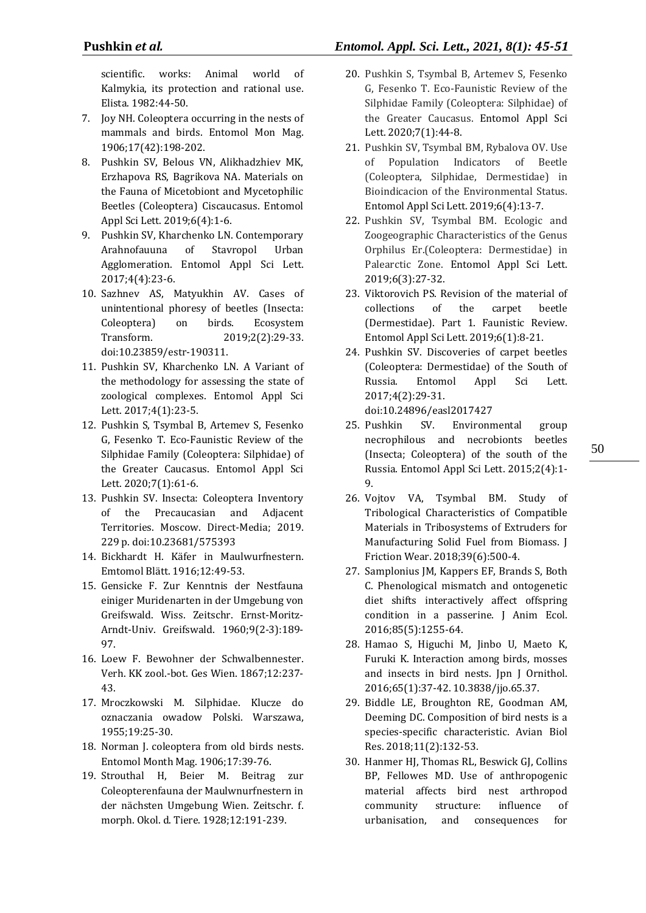scientific. works: Animal world of Kalmykia, its protection and rational use. Elista. 1982:44-50.

- 7. Joy NH. Coleoptera occurring in the nests of mammals and birds. Entomol Mon Mag. 1906;17(42):198-202.
- 8. Pushkin SV, Belous VN, Alikhadzhiev MK, Erzhapova RS, Bagrikova NA. Materials on the Fauna of Micetobiont and Mycetophilic Beetles (Coleoptera) Ciscaucasus. Entomol Appl Sci Lett. 2019;6(4):1-6.
- 9. Pushkin SV, Kharchenko LN. Contemporary Arahnofauuna of Stavropol Urban Agglomeration. Entomol Appl Sci Lett. 2017;4(4):23-6.
- 10. Sazhnev AS, Matyukhin AV. Cases of unintentional phoresy of beetles (Insecta: Coleoptera) on birds. Ecosystem Transform. 2019;2(2):29-33. doi:10.23859/estr-190311.
- 11. Pushkin SV, Kharchenko LN. A Variant of the methodology for assessing the state of zoological complexes. Entomol Appl Sci Lett. 2017;4(1):23-5.
- 12. Pushkin S, Tsymbal B, Artemev S, Fesenko G, Fesenko T. Eco-Faunistic Review of the Silphidae Family (Coleoptera: Silphidae) of the Greater Caucasus. Entomol Appl Sci Lett. 2020;7(1):61-6.
- 13. Pushkin SV. Insecta: Coleoptera Inventory of the Precaucasian and Adjacent Territories. Moscow. Direct-Media; 2019. 229 p. doi[:10.23681/575393](http://dx.doi.org/10.23681/575393)
- 14. Bickhardt H. Käfer in Maulwurfnestern. Emtomol Blätt. 1916;12:49-53.
- 15. Gensicke F. Zur Kenntnis der Nestfauna einiger Muridenarten in der Umgebung von Greifswald. Wiss. Zeitschr. Ernst-Moritz-Arndt-Univ. Greifswald. 1960;9(2-3):189- 97.
- 16. Loew F. Bewohner der Schwalbennester. Verh. KK zool.-bot. Ges Wien. 1867;12:237- 43.
- 17. Mroczkowski M. Silphidae. Klucze do oznaczania owadow Polski. Warszawa, 1955;19:25-30.
- 18. Norman J. coleoptera from old birds nests. Entomol Month Mag. 1906;17:39-76.
- 19. Strouthal H, Beier M. Beitrag zur Coleopterenfauna der Maulwnurfnestern in der nächsten Umgebung Wien. Zeitschr. f. morph. Okol. d. Tiere. 1928;12:191-239.
- 
- 20. Pushkin S, Tsymbal B, Artemev S, Fesenko G, Fesenko T. Eco-Faunistic Review of the Silphidae Family (Coleoptera: Silphidae) of the Greater Caucasus. Entomol Appl Sci Lett. 2020;7(1):44-8.
- 21. Pushkin SV, Tsymbal BM, Rybalova OV. Use of Population Indicators of Beetle (Coleoptera, Silphidae, Dermestidae) in Bioindicacion of the Environmental Status. Entomol Appl Sci Lett. 2019;6(4):13-7.
- 22. Pushkin SV, Tsymbal BM. Ecologic and Zoogeographic Characteristics of the Genus Orphilus Er.(Coleoptera: Dermestidae) in Palearctic Zone. Entomol Appl Sci Lett. 2019;6(3):27-32.
- 23. Viktorovich PS. Revision of the material of collections of the carpet beetle (Dermestidae). Part 1. Faunistic Review. Entomol Appl Sci Lett. 2019;6(1):8-21.
- 24. Pushkin SV. Discoveries of carpet beetles (Coleoptera: Dermestidae) of the South of Russia. Entomol Appl Sci Lett. 2017;4(2):29-31.
	- doi:10.24896/easl2017427
- 25. Pushkin SV. Environmental group necrophilous and necrobionts beetles (Insecta; Coleoptera) of the south of the Russia. Entomol Appl Sci Lett. 2015;2(4):1- 9.
- 26. Vojtov VA, Tsymbal BM. Study of Tribological Characteristics of Compatible Materials in Tribosystems of Extruders for Manufacturing Solid Fuel from Biomass. J Friction Wear. 2018;39(6):500-4.
- 27. Samplonius JM, Kappers EF, Brands S, Both C. Phenological mismatch and ontogenetic diet shifts interactively affect offspring condition in a passerine. J Anim Ecol. 2016;85(5):1255-64.
- 28. Hamao S, Higuchi M, Jinbo U, Maeto K, Furuki K. Interaction among birds, mosses and insects in bird nests. Jpn J Ornithol. 2016;65(1):37-42. 10.3838/jjo.65.37.
- 29. Biddle LE, Broughton RE, Goodman AM, Deeming DC. Composition of bird nests is a species-specific characteristic. Avian Biol Res. 2018;11(2):132-53.
- 30. Hanmer HJ, Thomas RL, Beswick GJ, Collins BP, Fellowes MD. Use of anthropogenic material affects bird nest arthropod community structure: influence of urbanisation, and consequences for

50